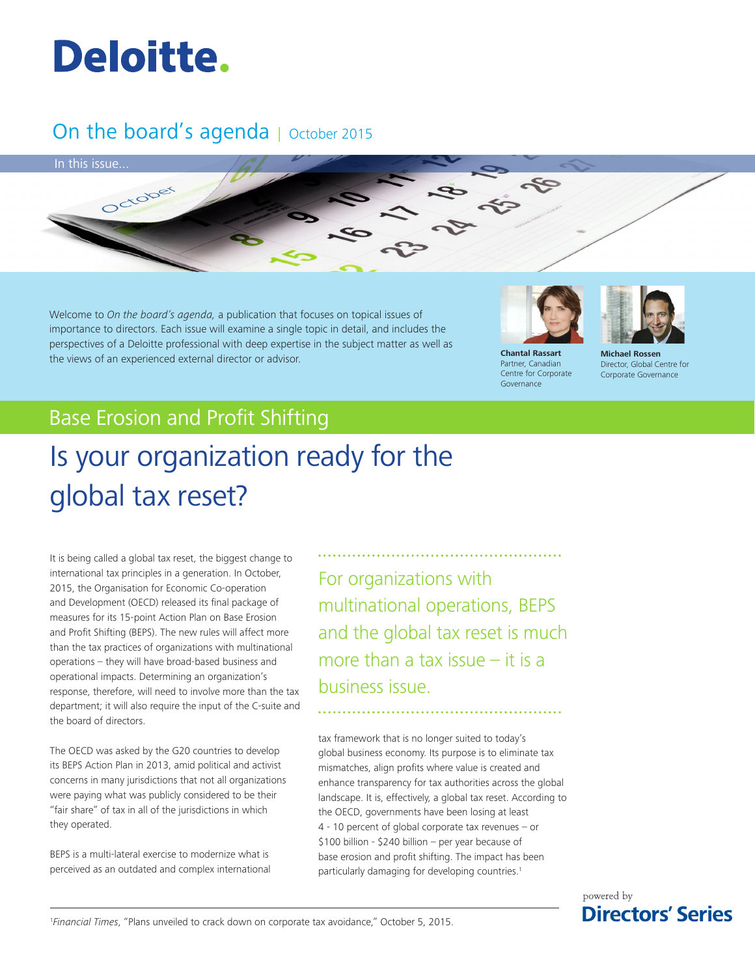

# On the board's agenda | October 2015



Welcome to *On the board's agenda,* a publication that focuses on topical issues of importance to directors. Each issue will examine a single topic in detail, and includes the perspectives of a Deloitte professional with deep expertise in the subject matter as well as the views of an experienced external director or advisor. **Chantal Rassart**

Partner, Canadian Centre for Corporate Governance

**Michael Rossen** Director, Global Centre for Corporate Governance

# Base Erosion and Profit Shifting

# Is your organization ready for the global tax reset?

It is being called a global tax reset, the biggest change to international tax principles in a generation. In October, 2015, the Organisation for Economic Co-operation and Development (OECD) released its final package of measures for its 15-point Action Plan on Base Erosion and Profit Shifting (BEPS). The new rules will affect more than the tax practices of organizations with multinational operations – they will have broad-based business and operational impacts. Determining an organization's response, therefore, will need to involve more than the tax department; it will also require the input of the C-suite and the board of directors.

The OECD was asked by the G20 countries to develop its BEPS Action Plan in 2013, amid political and activist concerns in many jurisdictions that not all organizations were paying what was publicly considered to be their "fair share" of tax in all of the jurisdictions in which they operated.

BEPS is a multi-lateral exercise to modernize what is perceived as an outdated and complex international For organizations with multinational operations, BEPS and the global tax reset is much more than a tax issue – it is a business issue.

tax framework that is no longer suited to today's global business economy. Its purpose is to eliminate tax mismatches, align profits where value is created and enhance transparency for tax authorities across the global landscape. It is, effectively, a global tax reset. According to the OECD, governments have been losing at least 4 - 10 percent of global corporate tax revenues – or \$100 billion - \$240 billion – per year because of base erosion and profit shifting. The impact has been particularly damaging for developing countries.<sup>1</sup>

> powered by **Directors' Series**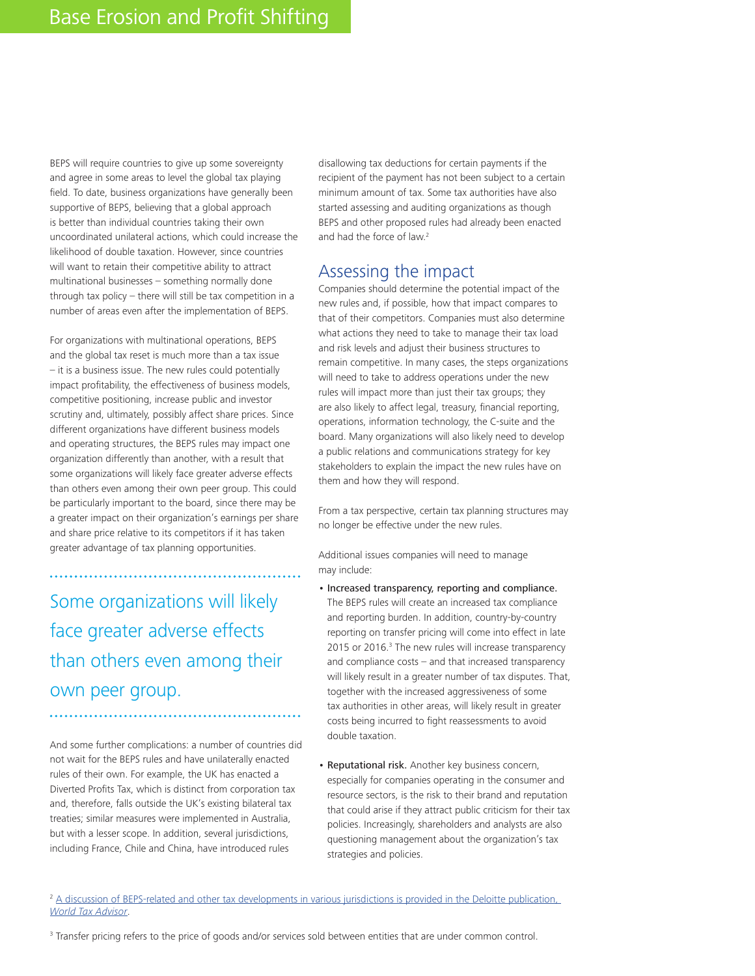BEPS will require countries to give up some sovereignty and agree in some areas to level the global tax playing field. To date, business organizations have generally been supportive of BEPS, believing that a global approach is better than individual countries taking their own uncoordinated unilateral actions, which could increase the likelihood of double taxation. However, since countries will want to retain their competitive ability to attract multinational businesses – something normally done through tax policy – there will still be tax competition in a number of areas even after the implementation of BEPS.

For organizations with multinational operations, BEPS and the global tax reset is much more than a tax issue – it is a business issue. The new rules could potentially impact profitability, the effectiveness of business models, competitive positioning, increase public and investor scrutiny and, ultimately, possibly affect share prices. Since different organizations have different business models and operating structures, the BEPS rules may impact one organization differently than another, with a result that some organizations will likely face greater adverse effects than others even among their own peer group. This could be particularly important to the board, since there may be a greater impact on their organization's earnings per share and share price relative to its competitors if it has taken greater advantage of tax planning opportunities.

Some organizations will likely face greater adverse effects than others even among their own peer group.

And some further complications: a number of countries did not wait for the BEPS rules and have unilaterally enacted rules of their own. For example, the UK has enacted a Diverted Profits Tax, which is distinct from corporation tax and, therefore, falls outside the UK's existing bilateral tax treaties; similar measures were implemented in Australia, but with a lesser scope. In addition, several jurisdictions, including France, Chile and China, have introduced rules

disallowing tax deductions for certain payments if the recipient of the payment has not been subject to a certain minimum amount of tax. Some tax authorities have also started assessing and auditing organizations as though BEPS and other proposed rules had already been enacted and had the force of law.<sup>2</sup>

## Assessing the impact

Companies should determine the potential impact of the new rules and, if possible, how that impact compares to that of their competitors. Companies must also determine what actions they need to take to manage their tax load and risk levels and adjust their business structures to remain competitive. In many cases, the steps organizations will need to take to address operations under the new rules will impact more than just their tax groups; they are also likely to affect legal, treasury, financial reporting, operations, information technology, the C-suite and the board. Many organizations will also likely need to develop a public relations and communications strategy for key stakeholders to explain the impact the new rules have on them and how they will respond.

From a tax perspective, certain tax planning structures may no longer be effective under the new rules.

Additional issues companies will need to manage may include:

- Increased transparency, reporting and compliance. The BEPS rules will create an increased tax compliance and reporting burden. In addition, country-by-country reporting on transfer pricing will come into effect in late 2015 or 2016.<sup>3</sup> The new rules will increase transparency and compliance costs – and that increased transparency will likely result in a greater number of tax disputes. That, together with the increased aggressiveness of some tax authorities in other areas, will likely result in greater costs being incurred to fight reassessments to avoid double taxation.
- Reputational risk. Another key business concern, especially for companies operating in the consumer and resource sectors, is the risk to their brand and reputation that could arise if they attract public criticism for their tax policies. Increasingly, shareholders and analysts are also questioning management about the organization's tax strategies and policies.

<sup>2</sup> A discussion of BEPS-related and other tax developments in various jurisdictions is provided in the Deloitte publication, *World Tax Advisor*.

<sup>&</sup>lt;sup>3</sup> Transfer pricing refers to the price of goods and/or services sold between entities that are under common control.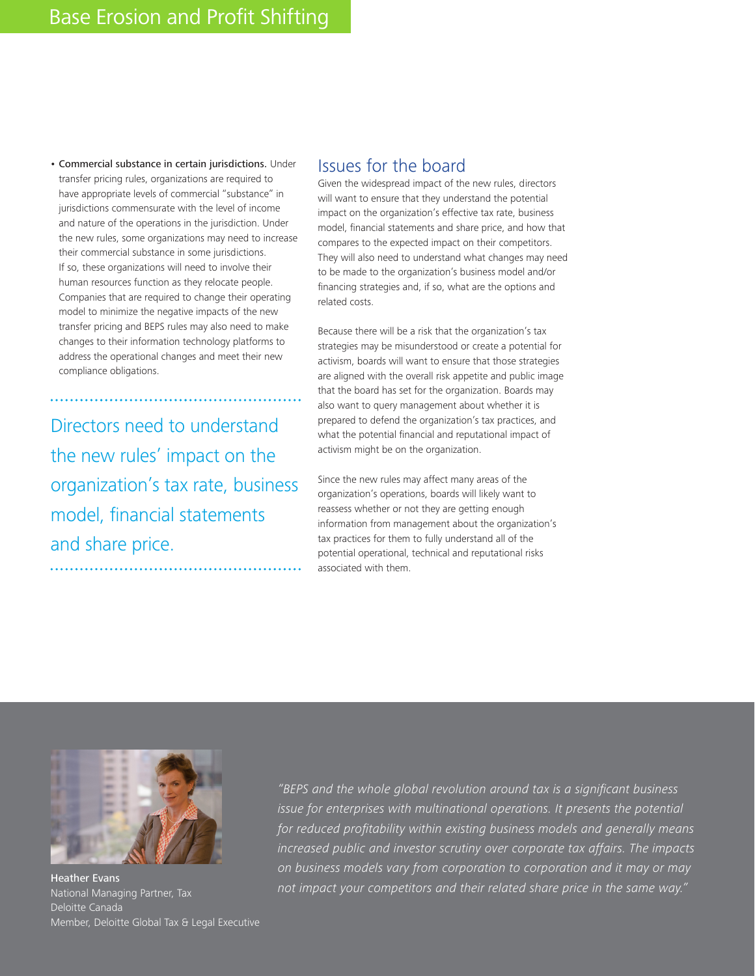• Commercial substance in certain jurisdictions. Under transfer pricing rules, organizations are required to have appropriate levels of commercial "substance" in jurisdictions commensurate with the level of income and nature of the operations in the jurisdiction. Under the new rules, some organizations may need to increase their commercial substance in some jurisdictions. If so, these organizations will need to involve their human resources function as they relocate people. Companies that are required to change their operating model to minimize the negative impacts of the new transfer pricing and BEPS rules may also need to make changes to their information technology platforms to address the operational changes and meet their new compliance obligations.

Directors need to understand the new rules' impact on the organization's tax rate, business model, financial statements and share price.

### Issues for the board

Given the widespread impact of the new rules, directors will want to ensure that they understand the potential impact on the organization's effective tax rate, business model, financial statements and share price, and how that compares to the expected impact on their competitors. They will also need to understand what changes may need to be made to the organization's business model and/or financing strategies and, if so, what are the options and related costs.

Because there will be a risk that the organization's tax strategies may be misunderstood or create a potential for activism, boards will want to ensure that those strategies are aligned with the overall risk appetite and public image that the board has set for the organization. Boards may also want to query management about whether it is prepared to defend the organization's tax practices, and what the potential financial and reputational impact of activism might be on the organization.

Since the new rules may affect many areas of the organization's operations, boards will likely want to reassess whether or not they are getting enough information from management about the organization's tax practices for them to fully understand all of the potential operational, technical and reputational risks associated with them.



Heather Evans National Managing Partner, Tax Deloitte Canada Member, Deloitte Global Tax & Legal Executive

*"BEPS and the whole global revolution around tax is a significant business issue for enterprises with multinational operations. It presents the potential for reduced profitability within existing business models and generally means increased public and investor scrutiny over corporate tax affairs. The impacts on business models vary from corporation to corporation and it may or may not impact your competitors and their related share price in the same way."*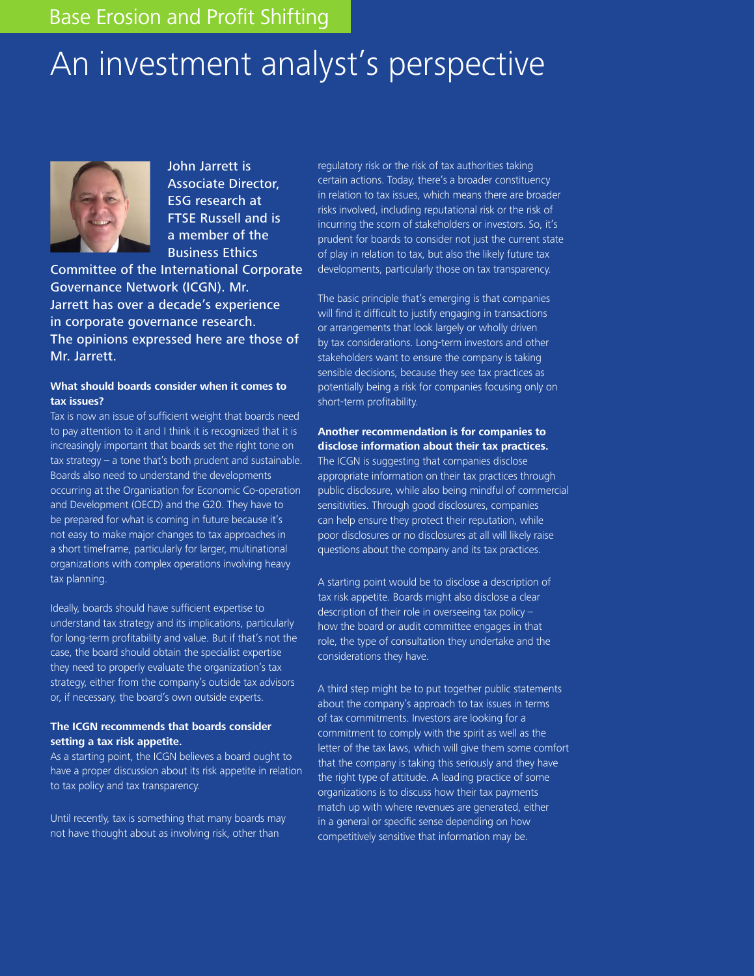# An investment analyst's perspective



John Jarrett is Associate Director, ESG research at FTSE Russell and is a member of the Business Ethics

Committee of the International Corporate Governance Network (ICGN). Mr. Jarrett has over a decade's experience in corporate governance research. The opinions expressed here are those of Mr. Jarrett.

#### **What should boards consider when it comes to tax issues?**

Tax is now an issue of sufficient weight that boards need to pay attention to it and I think it is recognized that it is increasingly important that boards set the right tone on tax strategy – a tone that's both prudent and sustainable. Boards also need to understand the developments occurring at the Organisation for Economic Co-operation and Development (OECD) and the G20. They have to be prepared for what is coming in future because it's not easy to make major changes to tax approaches in a short timeframe, particularly for larger, multinational organizations with complex operations involving heavy tax planning.

Ideally, boards should have sufficient expertise to understand tax strategy and its implications, particularly for long-term profitability and value. But if that's not the case, the board should obtain the specialist expertise they need to properly evaluate the organization's tax strategy, either from the company's outside tax advisors or, if necessary, the board's own outside experts.

#### **The ICGN recommends that boards consider setting a tax risk appetite.**

As a starting point, the ICGN believes a board ought to have a proper discussion about its risk appetite in relation to tax policy and tax transparency.

Until recently, tax is something that many boards may not have thought about as involving risk, other than

regulatory risk or the risk of tax authorities taking certain actions. Today, there's a broader constituency in relation to tax issues, which means there are broader risks involved, including reputational risk or the risk of incurring the scorn of stakeholders or investors. So, it's prudent for boards to consider not just the current state of play in relation to tax, but also the likely future tax developments, particularly those on tax transparency.

The basic principle that's emerging is that companies will find it difficult to justify engaging in transactions or arrangements that look largely or wholly driven by tax considerations. Long-term investors and other stakeholders want to ensure the company is taking sensible decisions, because they see tax practices as potentially being a risk for companies focusing only on short-term profitability.

**Another recommendation is for companies to disclose information about their tax practices.** The ICGN is suggesting that companies disclose appropriate information on their tax practices through public disclosure, while also being mindful of commercial sensitivities. Through good disclosures, companies can help ensure they protect their reputation, while poor disclosures or no disclosures at all will likely raise questions about the company and its tax practices.

A starting point would be to disclose a description of tax risk appetite. Boards might also disclose a clear description of their role in overseeing tax policy – how the board or audit committee engages in that role, the type of consultation they undertake and the considerations they have.

A third step might be to put together public statements about the company's approach to tax issues in terms of tax commitments. Investors are looking for a commitment to comply with the spirit as well as the letter of the tax laws, which will give them some comfort that the company is taking this seriously and they have the right type of attitude. A leading practice of some organizations is to discuss how their tax payments match up with where revenues are generated, either in a general or specific sense depending on how competitively sensitive that information may be.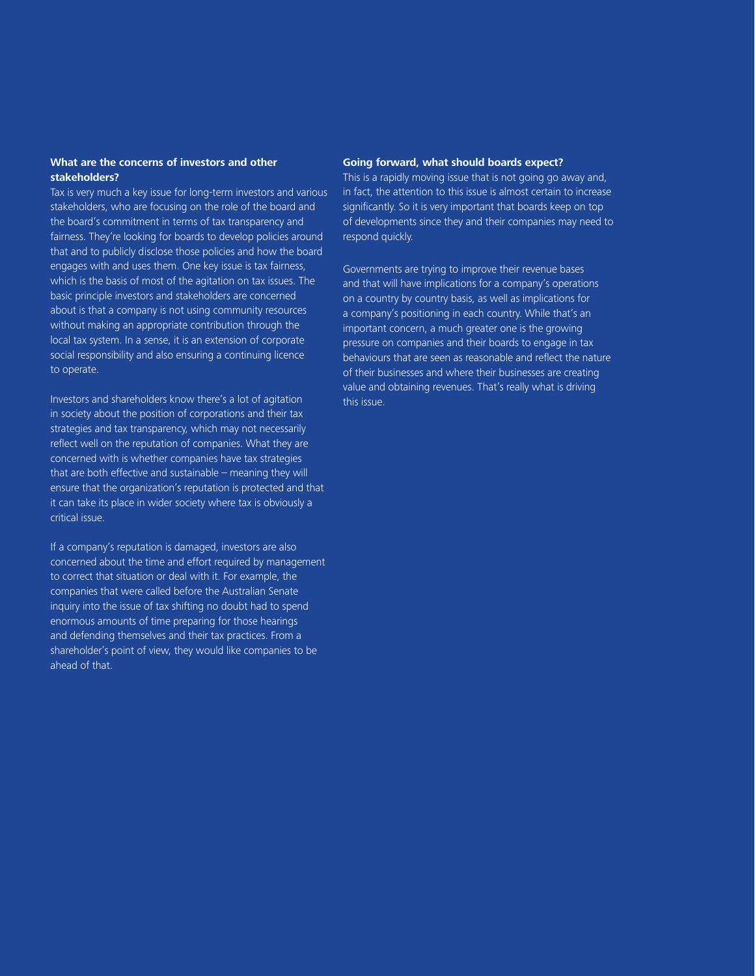#### **What are the concerns of investors and other stakeholders?**

Tax is very much a key issue for long-term investors and various stakeholders, who are focusing on the role of the board and the board's commitment in terms of tax transparency and fairness. They're looking for boards to develop policies around that and to publicly disclose those policies and how the board engages with and uses them. One key issue is tax fairness, which is the basis of most of the agitation on tax issues. The basic principle investors and stakeholders are concerned about is that a company is not using community resources without making an appropriate contribution through the local tax system. In a sense, it is an extension of corporate social responsibility and also ensuring a continuing licence to operate.

Investors and shareholders know there's a lot of agitation in society about the position of corporations and their tax strategies and tax transparency, which may not necessarily reflect well on the reputation of companies. What they are concerned with is whether companies have tax strategies that are both effective and sustainable – meaning they will ensure that the organization's reputation is protected and that it can take its place in wider society where tax is obviously a critical issue.

If a company's reputation is damaged, investors are also concerned about the time and effort required by management to correct that situation or deal with it. For example, the companies that were called before the Australian Senate inquiry into the issue of tax shifting no doubt had to spend enormous amounts of time preparing for those hearings and defending themselves and their tax practices. From a shareholder's point of view, they would like companies to be ahead of that.

#### **Going forward, what should boards expect?**

This is a rapidly moving issue that is not going go away and, in fact, the attention to this issue is almost certain to increase significantly. So it is very important that boards keep on top of developments since they and their companies may need to respond quickly.

Governments are trying to improve their revenue bases and that will have implications for a company's operations on a country by country basis, as well as implications for a company's positioning in each country. While that's an important concern, a much greater one is the growing pressure on companies and their boards to engage in tax behaviours that are seen as reasonable and reflect the nature of their businesses and where their businesses are creating value and obtaining revenues. That's really what is driving this issue.